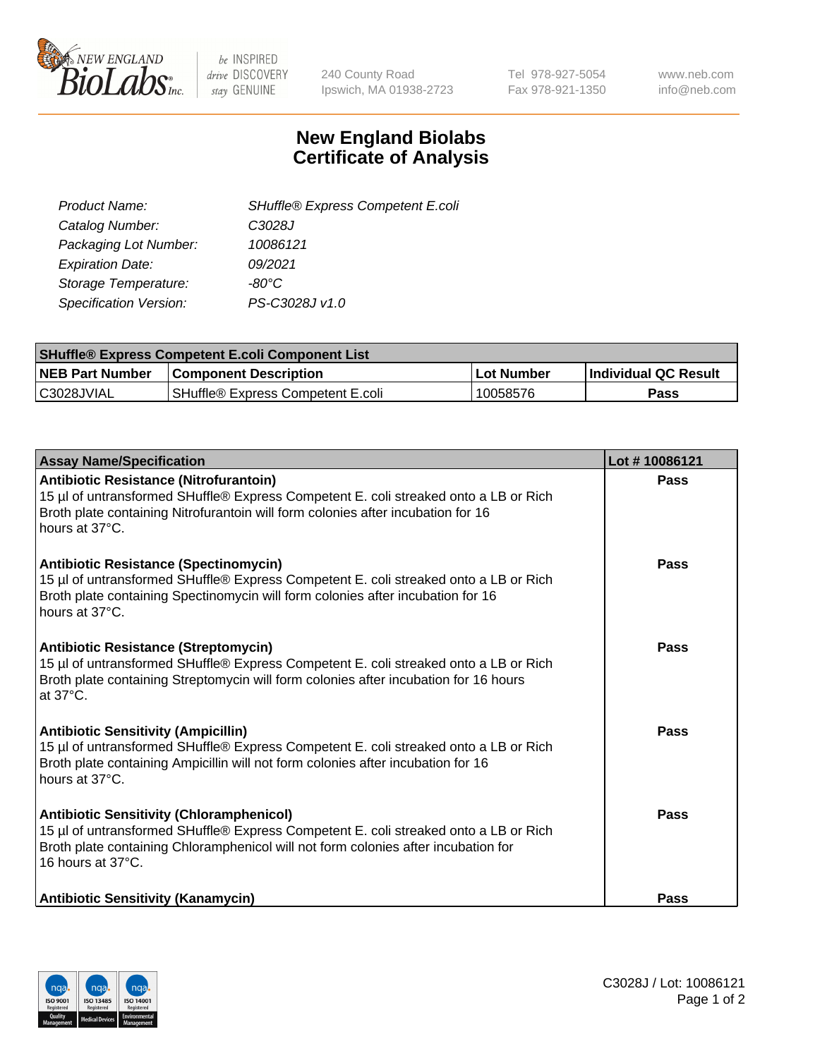

be INSPIRED drive DISCOVERY stay GENUINE

240 County Road Ipswich, MA 01938-2723 Tel 978-927-5054 Fax 978-921-1350 www.neb.com info@neb.com

## **New England Biolabs Certificate of Analysis**

| SHuffle® Express Competent E.coli |
|-----------------------------------|
| C3028J                            |
| 10086121                          |
| 09/2021                           |
| -80°C                             |
| PS-C3028J v1.0                    |
|                                   |

| <b>SHuffle® Express Competent E.coli Component List</b> |                                   |                   |                             |  |
|---------------------------------------------------------|-----------------------------------|-------------------|-----------------------------|--|
| <b>NEB Part Number</b>                                  | <b>Component Description</b>      | <b>Lot Number</b> | <b>Individual QC Result</b> |  |
| C3028JVIAL                                              | SHuffle® Express Competent E.coli | 10058576          | Pass                        |  |

| <b>Assay Name/Specification</b>                                                                                                                                                                                                                    | Lot #10086121 |
|----------------------------------------------------------------------------------------------------------------------------------------------------------------------------------------------------------------------------------------------------|---------------|
| Antibiotic Resistance (Nitrofurantoin)<br>15 µl of untransformed SHuffle® Express Competent E. coli streaked onto a LB or Rich<br>Broth plate containing Nitrofurantoin will form colonies after incubation for 16<br>hours at 37°C.               | Pass          |
| <b>Antibiotic Resistance (Spectinomycin)</b><br>15 µl of untransformed SHuffle® Express Competent E. coli streaked onto a LB or Rich<br>Broth plate containing Spectinomycin will form colonies after incubation for 16<br>hours at 37°C.          | Pass          |
| <b>Antibiotic Resistance (Streptomycin)</b><br>15 µl of untransformed SHuffle® Express Competent E. coli streaked onto a LB or Rich<br>Broth plate containing Streptomycin will form colonies after incubation for 16 hours<br>at 37°C.            | Pass          |
| <b>Antibiotic Sensitivity (Ampicillin)</b><br>15 µl of untransformed SHuffle® Express Competent E. coli streaked onto a LB or Rich<br>Broth plate containing Ampicillin will not form colonies after incubation for 16<br>hours at 37°C.           | Pass          |
| <b>Antibiotic Sensitivity (Chloramphenicol)</b><br>15 µl of untransformed SHuffle® Express Competent E. coli streaked onto a LB or Rich<br>Broth plate containing Chloramphenicol will not form colonies after incubation for<br>16 hours at 37°C. | Pass          |
| <b>Antibiotic Sensitivity (Kanamycin)</b>                                                                                                                                                                                                          | Pass          |